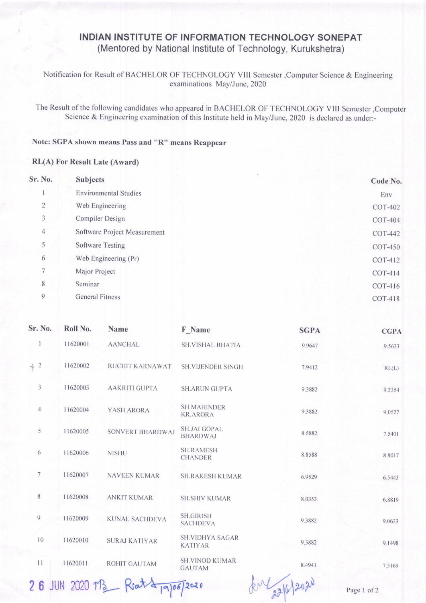## **INDIAN INSTITUTE OF INFORMATION TECHNOLOGY SONEPAT** (Mentored by National Institute of Technology, Kurukshetra)

Notification for Result of BACHELOR OF TECHNOLOGY VIII Semester , Computer Science & Engineering examinations May/June, 2020

The Result of the following candidates who appeared in BACHELOR OF TECHNOLOGY VIII Semester ,Computer Science & Engineering examination of this Institute held in May/June, 2020 is declared as under:-

## Note: SGPA shown means Pass and "R" means Reappear

## **RL(A)** For Result Late (Award)

| Sr. No.        | <b>Subjects</b>              | Code No.       |
|----------------|------------------------------|----------------|
|                | <b>Environmental Studies</b> | Env            |
| $\overline{2}$ | Web Engineering              | <b>COT-402</b> |
| 3              | Compiler Design              | <b>COT-404</b> |
| $\overline{4}$ | Software Project Measurement | <b>COT-442</b> |
| 5              | <b>Software Testing</b>      | COT-450        |
| 6              | Web Engineering (Pr)         | COT-412        |
| 7              | Major Project                | COT-414        |
| 8              | Seminar                      | COT-416        |
| 9              | <b>General Fitness</b>       | COT-418        |

| Sr. No.         | Roll No. | <b>Name</b>           | F_Name                                   | <b>SGPA</b> | <b>CGPA</b> |
|-----------------|----------|-----------------------|------------------------------------------|-------------|-------------|
| 1               | 11620001 | <b>AANCHAL</b>        | <b>SH.VISHAL BHATIA</b>                  | 9.9647      | 9.5633      |
| $+2$            | 11620002 | RUCHIT KARNAWAT       | <b>SH.VIJENDER SINGH</b>                 | 7.9412      | RL(L)       |
| $\mathfrak{Z}$  | 11620003 | <b>AAKRITI GUPTA</b>  | <b>SH.ARUN GUPTA</b>                     | 9.3882      | 9.3354      |
| $\overline{4}$  | 11620004 | YASH ARORA            | <b>SH.MAHINDER</b><br><b>KR.ARORA</b>    | 9.3882      | 9.0527      |
| 5               | 11620005 | SONVERT BHARDWAJ      | <b>SH.JAI GOPAL</b><br><b>BHARDWAJ</b>   | 8.5882      | 7.5401      |
| 6               | 11620006 | <b>NISHU</b>          | <b>SH.RAMESH</b><br><b>CHANDER</b>       | 8.8588      | 8.8017      |
| $7\phantom{.0}$ | 11620007 | <b>NAVEEN KUMAR</b>   | <b>SH.RAKESH KUMAR</b>                   | 6.9529      | 6.5443      |
| 8               | 11620008 | <b>ANKIT KUMAR</b>    | <b>SH.SHIV KUMAR</b>                     | 8.0353      | 6.8819      |
| 9               | 11620009 | <b>KUNAL SACHDEVA</b> | <b>SH.GIRISH</b><br><b>SACHDEVA</b>      | 9.3882      | 9.0633      |
| 10              | 11620010 | <b>SURAJ KATIYAR</b>  | <b>SH.VIDHYA SAGAR</b><br><b>KATIYAR</b> | 9.3882      | 9.1498      |
| 11              | 11620011 | <b>ROHIT GAUTAM</b>   | <b>SH.VINOD KUMAR</b><br><b>GAUTAM</b>   | 8.4941      | 7.5169      |

2 6 JUN 2020 M3 Reat 4 19/06/2020

for 22/6/2020

Page 1 of 2